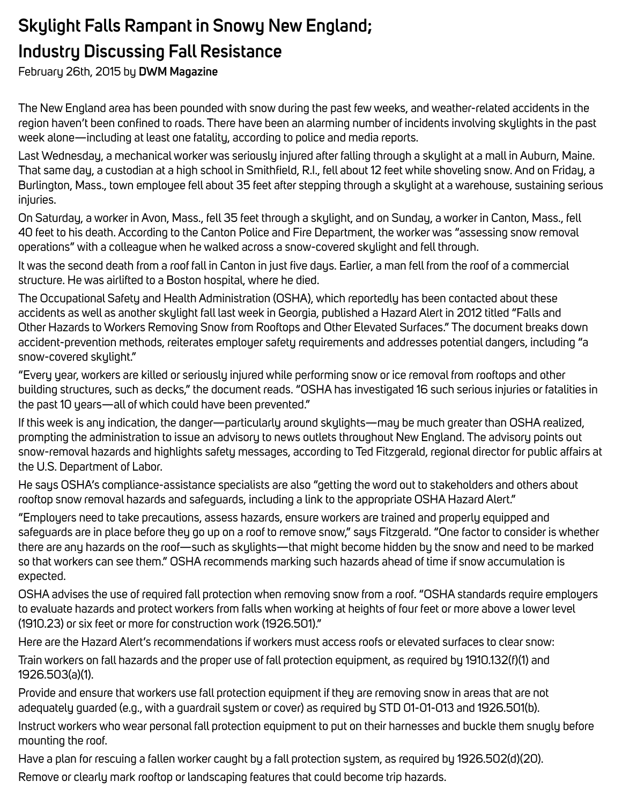## **Skylight Falls Rampant in Snowy New England; Industry Discussing Fall Resistance**

February 26th, 2015 by **DWM Magazine**

The New England area has been pounded with snow during the past few weeks, and weather-related accidents in the region haven't been confined to roads. There have been an alarming number of incidents involving skylights in the past week alone—including at least one fatality, according to police and media reports.

Last Wednesday, a mechanical worker was seriously injured after falling through a skylight at a mall in Auburn, Maine. That same day, a custodian at a high school in Smithfield, R.I., fell about 12 feet while shoveling snow. And on Friday, a Burlington, Mass., town employee fell about 35 feet after stepping through a skylight at a warehouse, sustaining serious injuries.

On Saturday, a worker in Avon, Mass., fell 35 feet through a skylight, and on Sunday, a worker in Canton, Mass., fell 40 feet to his death. According to the Canton Police and Fire Department, the worker was "assessing snow removal operations" with a colleague when he walked across a snow-covered skylight and fell through.

It was the second death from a roof fall in Canton in just five days. Earlier, a man fell from the roof of a commercial structure. He was airlifted to a Boston hospital, where he died.

The Occupational Safety and Health Administration (OSHA), which reportedly has been contacted about these accidents as well as another skylight fall last week in Georgia, published a Hazard Alert in 2012 titled "Falls and Other Hazards to Workers Removing Snow from Rooftops and Other Elevated Surfaces." The document breaks down accident-prevention methods, reiterates employer safety requirements and addresses potential dangers, including "a snow-covered skylight."

"Every year, workers are killed or seriously injured while performing snow or ice removal from rooftops and other building structures, such as decks," the document reads. "OSHA has investigated 16 such serious injuries or fatalities in the past 10 years—all of which could have been prevented."

If this week is any indication, the danger—particularly around skylights—may be much greater than OSHA realized, prompting the administration to issue an advisory to news outlets throughout New England. The advisory points out snow-removal hazards and highlights safety messages, according to Ted Fitzgerald, regional director for public affairs at the U.S. Department of Labor.

He says OSHA's compliance-assistance specialists are also "getting the word out to stakeholders and others about rooftop snow removal hazards and safeguards, including a link to the appropriate OSHA Hazard Alert."

"Employers need to take precautions, assess hazards, ensure workers are trained and properly equipped and safeguards are in place before they go up on a roof to remove snow," says Fitzgerald. "One factor to consider is whether there are any hazards on the roof—such as skylights—that might become hidden by the snow and need to be marked so that workers can see them." OSHA recommends marking such hazards ahead of time if snow accumulation is expected.

OSHA advises the use of required fall protection when removing snow from a roof. "OSHA standards require employers to evaluate hazards and protect workers from falls when working at heights of four feet or more above a lower level (1910.23) or six feet or more for construction work (1926.501)."

Here are the Hazard Alert's recommendations if workers must access roofs or elevated surfaces to clear snow:

Train workers on fall hazards and the proper use of fall protection equipment, as required by 1910.132(f)(1) and 1926.503(a)(1).

Provide and ensure that workers use fall protection equipment if they are removing snow in areas that are not adequately guarded (e.g., with a guardrail system or cover) as required by STD 01-01-013 and 1926.501(b).

Instruct workers who wear personal fall protection equipment to put on their harnesses and buckle them snugly before mounting the roof.

Have a plan for rescuing a fallen worker caught by a fall protection system, as required by 1926.502(d)(20).

Remove or clearly mark rooftop or landscaping features that could become trip hazards.